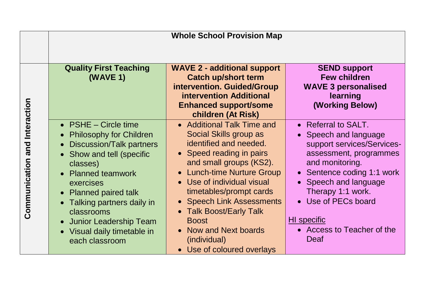|                                  | <b>Whole School Provision Map</b>                                                                                                                                                                                                                                                                                                                |                                                                                                                                                                                                                                                                                                                                                                             |                                                                                                                                                                                                                                                                                      |
|----------------------------------|--------------------------------------------------------------------------------------------------------------------------------------------------------------------------------------------------------------------------------------------------------------------------------------------------------------------------------------------------|-----------------------------------------------------------------------------------------------------------------------------------------------------------------------------------------------------------------------------------------------------------------------------------------------------------------------------------------------------------------------------|--------------------------------------------------------------------------------------------------------------------------------------------------------------------------------------------------------------------------------------------------------------------------------------|
|                                  | <b>Quality First Teaching</b><br>(WAVE 1)                                                                                                                                                                                                                                                                                                        | <b>WAVE 2 - additional support</b><br><b>Catch up/short term</b><br>intervention. Guided/Group<br><b>intervention Additional</b><br><b>Enhanced support/some</b><br>children (At Risk)                                                                                                                                                                                      | <b>SEND support</b><br><b>Few children</b><br><b>WAVE 3 personalised</b><br>learning<br>(Working Below)                                                                                                                                                                              |
| and Interaction<br>Communication | • $PSHE - Circle time$<br><b>Philosophy for Children</b><br>$\bullet$<br><b>Discussion/Talk partners</b><br>Show and tell (specific<br>$\bullet$<br>classes)<br>• Planned teamwork<br>exercises<br>• Planned paired talk<br>Talking partners daily in<br>classrooms<br>• Junior Leadership Team<br>• Visual daily timetable in<br>each classroom | • Additional Talk Time and<br>Social Skills group as<br>identified and needed.<br>• Speed reading in pairs<br>and small groups (KS2).<br>• Lunch-time Nurture Group<br>• Use of individual visual<br>timetables/prompt cards<br>• Speech Link Assessments<br>• Talk Boost/Early Talk<br><b>Boost</b><br>• Now and Next boards<br>(individual)<br>• Use of coloured overlays | • Referral to SALT.<br>Speech and language<br>support services/Services-<br>assessment, programmes<br>and monitoring.<br>• Sentence coding 1:1 work<br>• Speech and language<br>Therapy 1:1 work.<br>• Use of PECs board<br><b>HI</b> specific<br>• Access to Teacher of the<br>Deaf |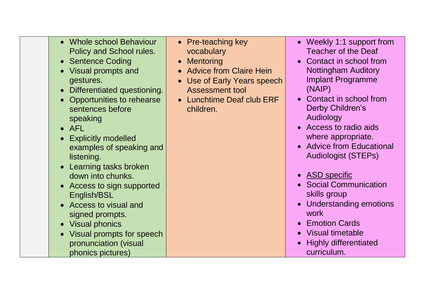- Whole school Behaviour Policy and School rules.
- Sentence Coding
- Visual prompts and gestures.
- Differentiated questioning.
- Opportunities to rehearse sentences before speaking
- $\bullet$  AFL
- Explicitly modelled examples of speaking and listening.
- Learning tasks broken down into chunks.
- Access to sign supported English/BSL
- Access to visual and signed prompts.
- Visual phonics
- Visual prompts for speech pronunciation (visual phonics pictures)
- Pre-teaching key vocabulary
- Mentoring
- Advice from Claire Hein
- Use of Early Years speech Assessment tool
- Lunchtime Deaf club FRF children.
- Weekly 1:1 support from Teacher of the Deaf
- Contact in school from Nottingham Auditory Implant Programme (NAIP)
- Contact in school from Derby Children's **Audiology**
- Access to radio aids where appropriate.
- Advice from Educational Audiologist (STEPs)
- ASD specific
- Social Communication skills group
- Understanding emotions work
- Emotion Cards
- Visual timetable
- Highly differentiated curriculum.